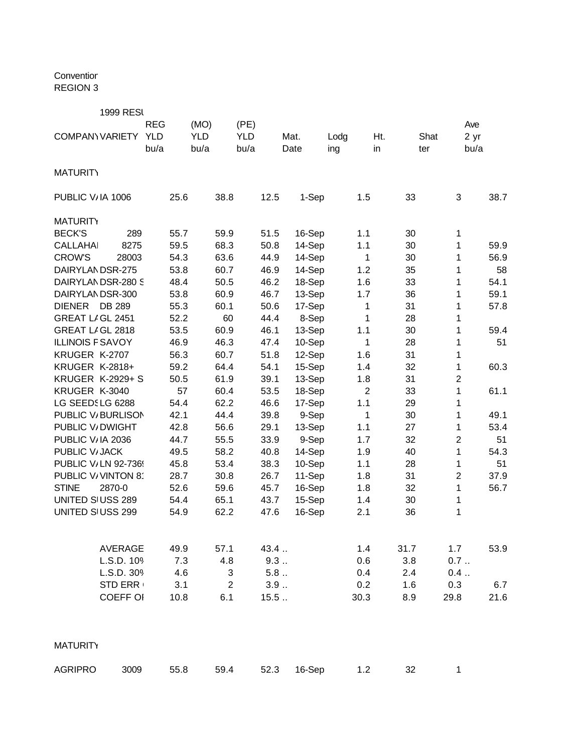Conventior REGION 3

|                         | <b>1999 RESI</b>        |            |      |            |                |            |      |        |      |                |      |      |                |      |
|-------------------------|-------------------------|------------|------|------------|----------------|------------|------|--------|------|----------------|------|------|----------------|------|
|                         |                         | <b>REG</b> |      | (MO)       |                | (PE)       |      |        |      |                |      |      | Ave            |      |
| COMPANY VARIETY         |                         | <b>YLD</b> |      | <b>YLD</b> |                | <b>YLD</b> |      | Mat.   | Lodg |                | Ht.  | Shat | 2 yr           |      |
|                         |                         | bu/a       |      | bu/a       |                | bu/a       |      | Date   | ing  |                | in   | ter  | bu/a           |      |
|                         |                         |            |      |            |                |            |      |        |      |                |      |      |                |      |
| <b>MATURITY</b>         |                         |            |      |            |                |            |      |        |      |                |      |      |                |      |
| PUBLIC V/IA 1006        |                         |            | 25.6 |            | 38.8           |            | 12.5 | 1-Sep  |      | 1.5            | 33   |      | 3              | 38.7 |
| <b>MATURITY</b>         |                         |            |      |            |                |            |      |        |      |                |      |      |                |      |
| <b>BECK'S</b>           | 289                     |            | 55.7 |            | 59.9           |            | 51.5 | 16-Sep |      | 1.1            | 30   |      | 1              |      |
| <b>CALLAHAI</b>         | 8275                    |            | 59.5 |            | 68.3           |            | 50.8 | 14-Sep |      | 1.1            | 30   |      | 1              | 59.9 |
| <b>CROW'S</b>           | 28003                   |            | 54.3 |            | 63.6           |            | 44.9 | 14-Sep |      | 1              | 30   |      | 1              | 56.9 |
| DAIRYLANDSR-275         |                         |            | 53.8 |            | 60.7           |            | 46.9 | 14-Sep |      | 1.2            | 35   |      | 1              | 58   |
|                         | DAIRYLANDSR-280 S       |            | 48.4 |            | 50.5           |            | 46.2 | 18-Sep |      | 1.6            | 33   |      | 1              | 54.1 |
| DAIRYLANDSR-300         |                         |            | 53.8 |            | 60.9           |            | 46.7 | 13-Sep |      | 1.7            | 36   |      | 1              | 59.1 |
| <b>DIENER</b>           | <b>DB 289</b>           |            | 55.3 |            | 60.1           |            | 50.6 | 17-Sep |      | 1              | 31   |      | 1              | 57.8 |
| GREAT LIGL 2451         |                         |            | 52.2 |            | 60             |            | 44.4 | 8-Sep  |      | 1              | 28   |      | 1              |      |
| GREAT LIGL 2818         |                         |            | 53.5 |            | 60.9           |            | 46.1 | 13-Sep |      | 1.1            | 30   |      | 1              | 59.4 |
| <b>ILLINOIS F SAVOY</b> |                         |            | 46.9 |            | 46.3           |            | 47.4 | 10-Sep |      | 1              | 28   |      | 1              | 51   |
| KRUGER K-2707           |                         |            | 56.3 |            | 60.7           |            | 51.8 | 12-Sep |      | 1.6            | 31   |      | 1              |      |
| <b>KRUGER K-2818+</b>   |                         |            | 59.2 |            | 64.4           |            | 54.1 | 15-Sep |      | $1.4$          | 32   |      | 1              | 60.3 |
|                         | <b>KRUGER K-2929+ S</b> |            | 50.5 |            | 61.9           |            | 39.1 | 13-Sep |      | 1.8            | 31   |      | $\overline{c}$ |      |
| KRUGER K-3040           |                         |            | 57   |            | 60.4           |            | 53.5 | 18-Sep |      | $\overline{2}$ | 33   |      | 1              | 61.1 |
| LG SEEDSLG 6288         |                         |            | 54.4 |            | 62.2           |            | 46.6 | 17-Sep |      | 1.1            | 29   |      | 1              |      |
|                         | PUBLIC V/BURLISON       |            | 42.1 |            | 44.4           |            | 39.8 | 9-Sep  |      | 1              | 30   |      | 1              | 49.1 |
| PUBLIC V/DWIGHT         |                         |            | 42.8 |            | 56.6           |            | 29.1 | 13-Sep |      | 1.1            | 27   |      | 1              | 53.4 |
| PUBLIC V/IA 2036        |                         |            | 44.7 |            | 55.5           |            | 33.9 | 9-Sep  |      | 1.7            | 32   |      | $\overline{c}$ | 51   |
| PUBLIC V/JACK           |                         |            | 49.5 |            | 58.2           |            | 40.8 | 14-Sep |      | 1.9            | 40   |      | 1              | 54.3 |
|                         | PUBLIC V/LN 92-736!     |            | 45.8 |            | 53.4           |            | 38.3 | 10-Sep |      | 1.1            | 28   |      | 1              | 51   |
|                         | PUBLIC V/VINTON 8       |            | 28.7 |            | 30.8           |            | 26.7 | 11-Sep |      | 1.8            | 31   |      | $\overline{2}$ | 37.9 |
| <b>STINE</b>            | 2870-0                  |            | 52.6 |            | 59.6           |            | 45.7 | 16-Sep |      | 1.8            | 32   |      | 1              | 56.7 |
| UNITED SIUSS 289        |                         |            | 54.4 |            | 65.1           |            | 43.7 | 15-Sep |      | 1.4            | 30   |      | 1              |      |
| UNITED SIUSS 299        |                         |            | 54.9 |            | 62.2           |            | 47.6 | 16-Sep |      | 2.1            | 36   |      | 1              |      |
|                         |                         |            |      |            |                |            |      |        |      |                |      |      |                |      |
|                         | <b>AVERAGE</b>          |            | 49.9 |            | 57.1           |            | 43.4 |        |      | 1.4            | 31.7 |      | 1.7            | 53.9 |
|                         | L.S.D. 109              |            | 7.3  |            | 4.8            |            | 9.3  |        |      | 0.6            | 3.8  |      | 0.7            |      |
|                         | L.S.D. 309              |            | 4.6  |            | 3              |            | 5.8  |        |      | 0.4            | 2.4  |      | 0.4            |      |
|                         | <b>STD ERR</b>          |            | 3.1  |            | $\overline{2}$ |            | 3.9  |        |      | 0.2            | 1.6  |      | 0.3            | 6.7  |
|                         | <b>COEFF OI</b>         |            | 10.8 |            | 6.1            |            | 15.5 |        |      | 30.3           | 8.9  | 29.8 |                | 21.6 |
|                         |                         |            |      |            |                |            |      |        |      |                |      |      |                |      |
| <b>MATURITY</b>         |                         |            |      |            |                |            |      |        |      |                |      |      |                |      |
| <b>AGRIPRO</b>          | 3009                    |            | 55.8 |            | 59.4           |            | 52.3 | 16-Sep |      | 1.2            | 32   |      | $\mathbf{1}$   |      |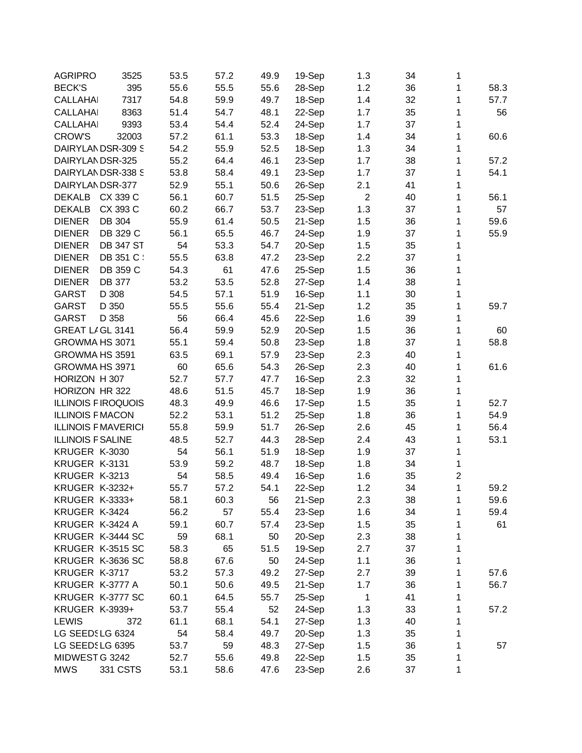| <b>AGRIPRO</b>           | 3525                       | 53.5 | 57.2 | 49.9 | 19-Sep | 1.3            | 34 | 1                |      |
|--------------------------|----------------------------|------|------|------|--------|----------------|----|------------------|------|
| <b>BECK'S</b>            | 395                        | 55.6 | 55.5 | 55.6 | 28-Sep | 1.2            | 36 | 1                | 58.3 |
| <b>CALLAHAI</b>          | 7317                       | 54.8 | 59.9 | 49.7 | 18-Sep | 1.4            | 32 | 1                | 57.7 |
| <b>CALLAHAI</b>          | 8363                       | 51.4 | 54.7 | 48.1 | 22-Sep | 1.7            | 35 | 1                | 56   |
| <b>CALLAHAI</b>          | 9393                       | 53.4 | 54.4 | 52.4 | 24-Sep | 1.7            | 37 | 1                |      |
| <b>CROW'S</b>            | 32003                      | 57.2 | 61.1 | 53.3 | 18-Sep | 1.4            | 34 | 1                | 60.6 |
|                          | DAIRYLANDSR-309 S          | 54.2 | 55.9 | 52.5 | 18-Sep | 1.3            | 34 | 1                |      |
| DAIRYLANDSR-325          |                            | 55.2 | 64.4 | 46.1 | 23-Sep | 1.7            | 38 | 1                | 57.2 |
|                          | DAIRYLANDSR-338 S          | 53.8 | 58.4 | 49.1 | 23-Sep | 1.7            | 37 | 1                | 54.1 |
| DAIRYLANDSR-377          |                            | 52.9 | 55.1 | 50.6 | 26-Sep | 2.1            | 41 | 1                |      |
| DEKALB                   | CX 339 C                   | 56.1 | 60.7 | 51.5 | 25-Sep | $\overline{2}$ | 40 | 1                | 56.1 |
| <b>DEKALB</b>            | CX 393 C                   | 60.2 | 66.7 | 53.7 | 23-Sep | 1.3            | 37 | 1                | 57   |
| <b>DIENER</b>            | DB 304                     | 55.9 | 61.4 | 50.5 | 21-Sep | 1.5            | 36 | 1                | 59.6 |
| <b>DIENER</b>            | DB 329 C                   | 56.1 | 65.5 | 46.7 | 24-Sep | 1.9            | 37 | 1                | 55.9 |
| <b>DIENER</b>            | <b>DB 347 ST</b>           | 54   | 53.3 | 54.7 | 20-Sep | 1.5            | 35 | 1                |      |
| <b>DIENER</b>            | DB 351 C                   | 55.5 | 63.8 | 47.2 | 23-Sep | 2.2            | 37 | 1                |      |
| <b>DIENER</b>            | DB 359 C                   | 54.3 | 61   | 47.6 | 25-Sep | 1.5            | 36 | 1                |      |
| <b>DIENER</b>            | <b>DB 377</b>              | 53.2 | 53.5 | 52.8 | 27-Sep | 1.4            | 38 | 1                |      |
| GARST                    | D 308                      | 54.5 | 57.1 | 51.9 | 16-Sep | 1.1            | 30 | 1                |      |
| <b>GARST</b>             | D 350                      |      |      |      | 21-Sep | 1.2            |    | 1                | 59.7 |
| <b>GARST</b>             |                            | 55.5 | 55.6 | 55.4 |        |                | 35 |                  |      |
|                          | D 358                      | 56   | 66.4 | 45.6 | 22-Sep | 1.6            | 39 | 1                |      |
| GREAT LIGL 3141          |                            | 56.4 | 59.9 | 52.9 | 20-Sep | 1.5            | 36 | 1                | 60   |
| GROWMA HS 3071           |                            | 55.1 | 59.4 | 50.8 | 23-Sep | 1.8            | 37 | 1                | 58.8 |
| GROWMA HS 3591           |                            | 63.5 | 69.1 | 57.9 | 23-Sep | 2.3            | 40 | 1                |      |
| GROWMA HS 3971           |                            | 60   | 65.6 | 54.3 | 26-Sep | 2.3            | 40 | 1                | 61.6 |
| HORIZON H 307            |                            | 52.7 | 57.7 | 47.7 | 16-Sep | 2.3            | 32 | 1                |      |
| HORIZON HR 322           |                            | 48.6 | 51.5 | 45.7 | 18-Sep | 1.9            | 36 | 1                |      |
|                          | <b>ILLINOIS FIROQUOIS</b>  | 48.3 | 49.9 | 46.6 | 17-Sep | 1.5            | 35 | 1                | 52.7 |
| <b>ILLINOIS F MACON</b>  |                            | 52.2 | 53.1 | 51.2 | 25-Sep | 1.8            | 36 | 1                | 54.9 |
|                          | <b>ILLINOIS F MAVERICI</b> | 55.8 | 59.9 | 51.7 | 26-Sep | 2.6            | 45 | 1                | 56.4 |
| <b>ILLINOIS F SALINE</b> |                            | 48.5 | 52.7 | 44.3 | 28-Sep | 2.4            | 43 | 1                | 53.1 |
| KRUGER K-3030            |                            | 54   | 56.1 | 51.9 | 18-Sep | 1.9            | 37 | 1                |      |
| KRUGER K-3131            |                            | 53.9 | 59.2 | 48.7 | 18-Sep | 1.8            | 34 | 1                |      |
| KRUGER K-3213            |                            | 54   | 58.5 | 49.4 | 16-Sep | 1.6            | 35 | $\boldsymbol{2}$ |      |
| <b>KRUGER K-3232+</b>    |                            | 55.7 | 57.2 | 54.1 | 22-Sep | 1.2            | 34 | 1                | 59.2 |
| <b>KRUGER K-3333+</b>    |                            | 58.1 | 60.3 | 56   | 21-Sep | 2.3            | 38 | 1                | 59.6 |
| KRUGER K-3424            |                            | 56.2 | 57   | 55.4 | 23-Sep | 1.6            | 34 | 1                | 59.4 |
| KRUGER K-3424 A          |                            | 59.1 | 60.7 | 57.4 | 23-Sep | 1.5            | 35 | 1                | 61   |
|                          | KRUGER K-3444 SC           | 59   | 68.1 | 50   | 20-Sep | 2.3            | 38 | 1                |      |
|                          | KRUGER K-3515 SC           | 58.3 | 65   | 51.5 | 19-Sep | 2.7            | 37 | 1                |      |
|                          | KRUGER K-3636 SC           | 58.8 | 67.6 | 50   | 24-Sep | 1.1            | 36 | 1                |      |
| KRUGER K-3717            |                            | 53.2 | 57.3 | 49.2 | 27-Sep | 2.7            | 39 | 1                | 57.6 |
| KRUGER K-3777 A          |                            | 50.1 | 50.6 | 49.5 | 21-Sep | 1.7            | 36 | 1                | 56.7 |
|                          | KRUGER K-3777 SC           | 60.1 | 64.5 | 55.7 | 25-Sep | 1              | 41 | 1                |      |
| <b>KRUGER K-3939+</b>    |                            | 53.7 | 55.4 | 52   | 24-Sep | 1.3            | 33 | 1                | 57.2 |
| <b>LEWIS</b>             | 372                        | 61.1 | 68.1 | 54.1 | 27-Sep | 1.3            | 40 | 1                |      |
|                          |                            |      |      |      |        |                |    |                  |      |
| LG SEEDSLG 6324          |                            | 54   | 58.4 | 49.7 | 20-Sep | 1.3            | 35 | 1                |      |
| LG SEEDSLG 6395          |                            | 53.7 | 59   | 48.3 | 27-Sep | 1.5            | 36 | 1                | 57   |
| MIDWEST G 3242           |                            | 52.7 | 55.6 | 49.8 | 22-Sep | 1.5            | 35 | 1                |      |
| <b>MWS</b>               | 331 CSTS                   | 53.1 | 58.6 | 47.6 | 23-Sep | 2.6            | 37 | 1                |      |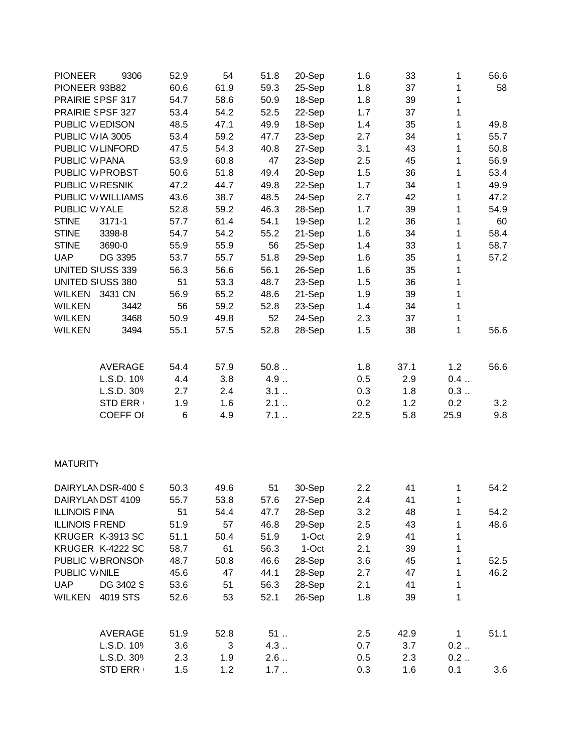| <b>PIONEER</b><br>9306  | 52.9 | 54   | 51.8 | 20-Sep | 1.6  | 33   | 1            | 56.6 |
|-------------------------|------|------|------|--------|------|------|--------------|------|
| PIONEER 93B82           | 60.6 | 61.9 | 59.3 | 25-Sep | 1.8  | 37   | 1            | 58   |
| PRAIRIE SPSF 317        | 54.7 | 58.6 | 50.9 | 18-Sep | 1.8  | 39   | 1            |      |
| PRAIRIE SPSF 327        | 53.4 | 54.2 | 52.5 | 22-Sep | 1.7  | 37   | 1            |      |
| PUBLIC V/EDISON         | 48.5 | 47.1 | 49.9 | 18-Sep | 1.4  | 35   | 1            | 49.8 |
| PUBLIC V/IA 3005        | 53.4 | 59.2 | 47.7 | 23-Sep | 2.7  | 34   | 1            | 55.7 |
| PUBLIC V/LINFORD        | 47.5 | 54.3 | 40.8 | 27-Sep | 3.1  | 43   | 1            | 50.8 |
| PUBLIC V/PANA           | 53.9 | 60.8 | 47   | 23-Sep | 2.5  | 45   | 1            | 56.9 |
| PUBLIC V/ PROBST        | 50.6 | 51.8 | 49.4 | 20-Sep | 1.5  | 36   | 1            | 53.4 |
| PUBLIC V/RESNIK         | 47.2 | 44.7 | 49.8 | 22-Sep | 1.7  | 34   | 1            | 49.9 |
| PUBLIC V/WILLIAMS       | 43.6 | 38.7 | 48.5 | 24-Sep | 2.7  | 42   | 1            | 47.2 |
| PUBLIC V/YALE           | 52.8 | 59.2 | 46.3 | 28-Sep | 1.7  | 39   | 1            | 54.9 |
| <b>STINE</b><br>3171-1  | 57.7 | 61.4 | 54.1 | 19-Sep | 1.2  | 36   | 1            | 60   |
| <b>STINE</b><br>3398-8  | 54.7 | 54.2 | 55.2 | 21-Sep | 1.6  | 34   | 1            | 58.4 |
| <b>STINE</b><br>3690-0  | 55.9 | 55.9 | 56   | 25-Sep | 1.4  | 33   | 1            | 58.7 |
| <b>UAP</b><br>DG 3395   | 53.7 | 55.7 | 51.8 | 29-Sep | 1.6  | 35   | 1            | 57.2 |
| UNITED SIUSS 339        | 56.3 | 56.6 | 56.1 | 26-Sep | 1.6  | 35   | 1            |      |
| UNITED SIUSS 380        | 51   | 53.3 | 48.7 | 23-Sep | 1.5  | 36   | $\mathbf{1}$ |      |
| WILKEN<br>3431 CN       | 56.9 | 65.2 | 48.6 | 21-Sep | 1.9  | 39   | $\mathbf 1$  |      |
| <b>WILKEN</b><br>3442   |      |      |      |        |      |      | 1            |      |
|                         | 56   | 59.2 | 52.8 | 23-Sep | 1.4  | 34   |              |      |
| <b>WILKEN</b><br>3468   | 50.9 | 49.8 | 52   | 24-Sep | 2.3  | 37   | 1            |      |
| <b>WILKEN</b><br>3494   | 55.1 | 57.5 | 52.8 | 28-Sep | 1.5  | 38   | 1            | 56.6 |
| <b>AVERAGE</b>          | 54.4 | 57.9 | 50.8 |        | 1.8  | 37.1 | 1.2          | 56.6 |
| L.S.D. 109              | 4.4  | 3.8  | 4.9  |        | 0.5  | 2.9  | 0.4          |      |
| L.S.D. 309              | 2.7  | 2.4  | 3.1  |        | 0.3  | 1.8  | 0.3          |      |
| <b>STD ERR</b>          | 1.9  | 1.6  | 2.1  |        | 0.2  | 1.2  | 0.2          | 3.2  |
| <b>COEFF OI</b>         | 6    | 4.9  | 7.1  |        | 22.5 | 5.8  | 25.9         | 9.8  |
|                         |      |      |      |        |      |      |              |      |
| <b>MATURITY</b>         |      |      |      |        |      |      |              |      |
| DAIRYLANDSR-400 S       | 50.3 | 49.6 | 51   | 30-Sep | 2.2  | 41   | 1            | 54.2 |
| DAIRYLANDST 4109        | 55.7 | 53.8 | 57.6 | 27-Sep | 2.4  | 41   | 1            |      |
| <b>ILLINOIS FINA</b>    | 51   | 54.4 | 47.7 | 28-Sep | 3.2  | 48   | 1            | 54.2 |
| <b>ILLINOIS F REND</b>  | 51.9 | 57   | 46.8 | 29-Sep | 2.5  | 43   | 1            | 48.6 |
| KRUGER K-3913 SC        | 51.1 | 50.4 | 51.9 | 1-Oct  | 2.9  | 41   | 1            |      |
| KRUGER K-4222 SC        | 58.7 | 61   | 56.3 | 1-Oct  | 2.1  | 39   | $\mathbf 1$  |      |
| PUBLIC V/BRONSON        | 48.7 | 50.8 | 46.6 | 28-Sep | 3.6  | 45   | 1            | 52.5 |
| PUBLIC V/NILE           | 45.6 | 47   | 44.1 | 28-Sep | 2.7  | 47   | 1            | 46.2 |
| DG 3402 S<br><b>UAP</b> | 53.6 | 51   | 56.3 | 28-Sep | 2.1  | 41   | 1            |      |
| WILKEN<br>4019 STS      | 52.6 | 53   | 52.1 | 26-Sep | 1.8  | 39   | 1            |      |
|                         |      |      |      |        |      |      |              |      |
| <b>AVERAGE</b>          | 51.9 | 52.8 | $51$ |        | 2.5  | 42.9 | $\mathbf{1}$ | 51.1 |
| L.S.D. 109              | 3.6  | 3    | 4.3  |        | 0.7  | 3.7  | 0.2          |      |
| L.S.D. 309              | 2.3  | 1.9  | 2.6  |        | 0.5  | 2.3  | 0.2          |      |
| <b>STD ERR</b>          | 1.5  | 1.2  | 1.7  |        | 0.3  | 1.6  | 0.1          | 3.6  |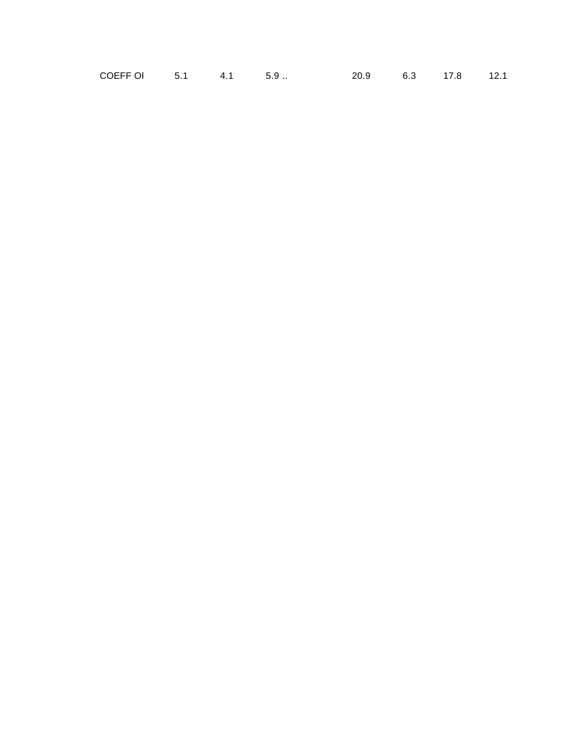| COEFF OI |  |  |  | 20.9 | 6.3 | 17.8 | 12.1 |
|----------|--|--|--|------|-----|------|------|
|----------|--|--|--|------|-----|------|------|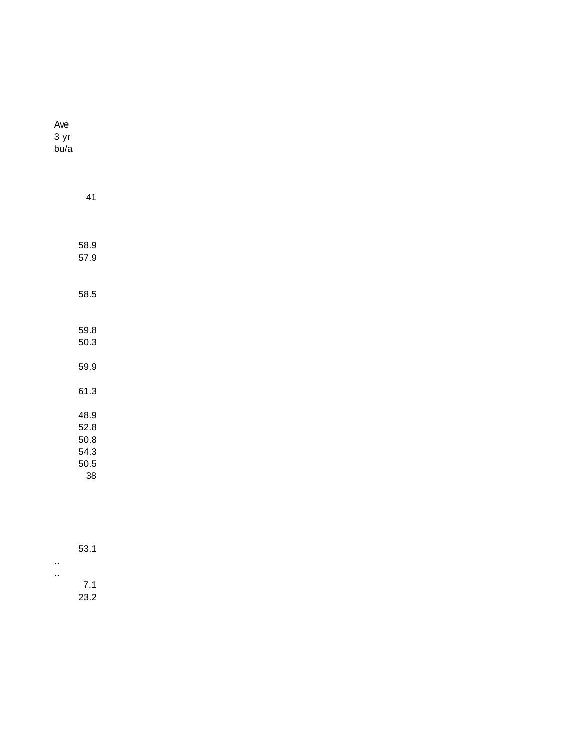Ave 3 yr bu/a

| 41                                         |  |  |
|--------------------------------------------|--|--|
|                                            |  |  |
| 58.9<br>57.9                               |  |  |
| 58.5                                       |  |  |
| 59.8<br>50.3                               |  |  |
| 59.9                                       |  |  |
| 61.3                                       |  |  |
| 48.9<br>52.8<br>50.8<br>54.3<br>50.5<br>38 |  |  |

| 53.1 |
|------|
|      |
| 7.1  |
| 23.2 |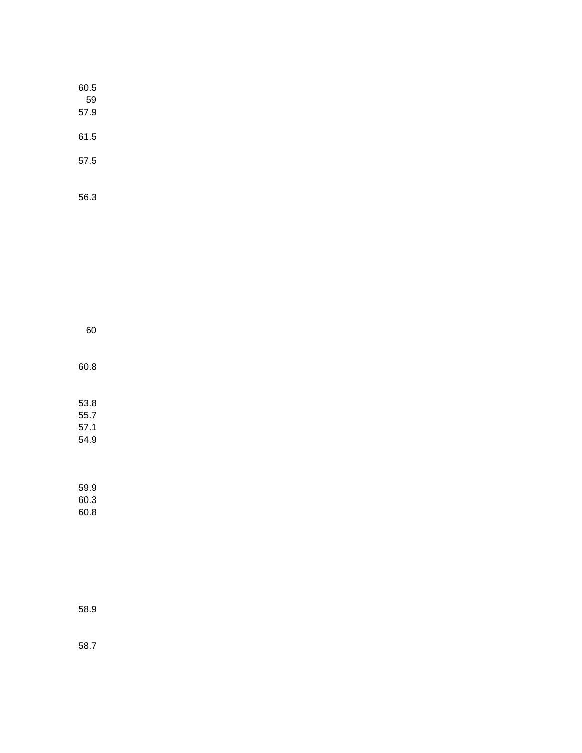56.3

| 60                           |  |
|------------------------------|--|
| 60.8                         |  |
| 53.8<br>55.7<br>57.1<br>54.9 |  |

59.9 60.3 60.8

58.9

58.7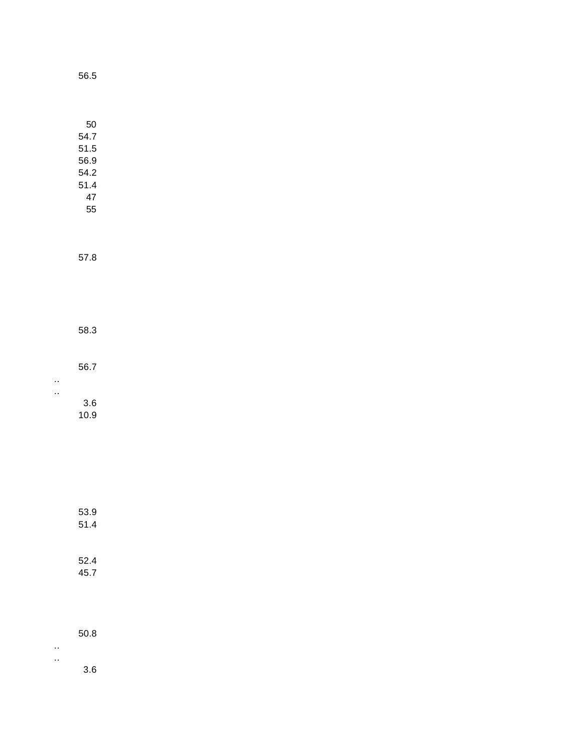| 50   |  |
|------|--|
| 54.7 |  |
| 51.5 |  |
| 56.9 |  |
| 54 2 |  |
| 51 4 |  |
| 47   |  |
| 55   |  |

57.8

58.3

56.7

.. ..

3.6

10.9

51.4 52.4

53.9

45.7

50.8

.. ..

3.6